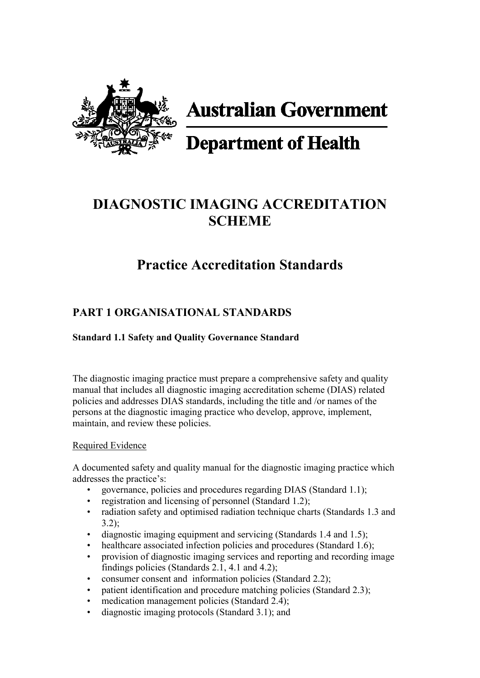

**Australian Government** 

# **Department of Health**

## **DIAGNOSTIC IMAGING ACCREDITATION SCHEME**

## **Practice Accreditation Standards**

## **PART 1 ORGANISATIONAL STANDARDS**

#### **Standard 1.1 Safety and Quality Governance Standard**

The diagnostic imaging practice must prepare a comprehensive safety and quality manual that includes all diagnostic imaging accreditation scheme (DIAS) related policies and addresses DIAS standards, including the title and /or names of the persons at the diagnostic imaging practice who develop, approve, implement, maintain, and review these policies.

#### Required Evidence

A documented safety and quality manual for the diagnostic imaging practice which addresses the practice's:

- governance, policies and procedures regarding DIAS (Standard 1.1);
- registration and licensing of personnel (Standard 1.2);
- radiation safety and optimised radiation technique charts (Standards 1.3 and 3.2);
- diagnostic imaging equipment and servicing (Standards 1.4 and 1.5);
- healthcare associated infection policies and procedures (Standard 1.6);
- provision of diagnostic imaging services and reporting and recording image findings policies (Standards 2.1, 4.1 and 4.2);
- consumer consent and information policies (Standard 2.2);
- patient identification and procedure matching policies (Standard 2.3);
- medication management policies (Standard 2.4);
- diagnostic imaging protocols (Standard 3.1); and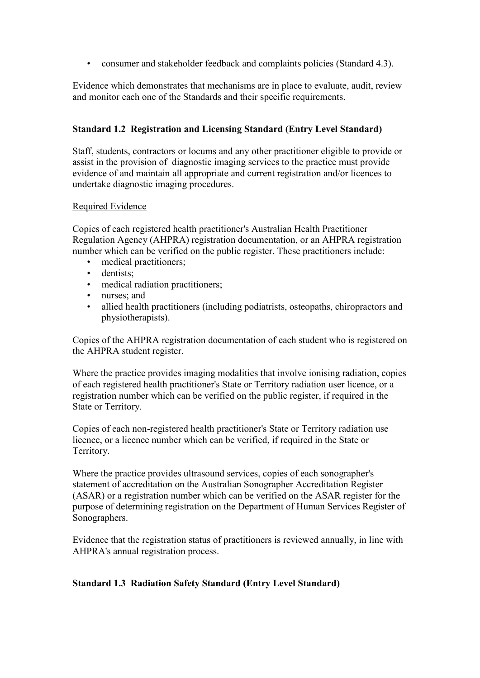• consumer and stakeholder feedback and complaints policies (Standard 4.3).

Evidence which demonstrates that mechanisms are in place to evaluate, audit, review and monitor each one of the Standards and their specific requirements.

#### **Standard 1.2 Registration and Licensing Standard (Entry Level Standard)**

Staff, students, contractors or locums and any other practitioner eligible to provide or assist in the provision of diagnostic imaging services to the practice must provide evidence of and maintain all appropriate and current registration and/or licences to undertake diagnostic imaging procedures.

#### Required Evidence

Copies of each registered health practitioner's Australian Health Practitioner Regulation Agency (AHPRA) registration documentation, or an AHPRA registration number which can be verified on the public register. These practitioners include:

- medical practitioners;
- dentists:
- medical radiation practitioners;
- nurses; and
- allied health practitioners (including podiatrists, osteopaths, chiropractors and physiotherapists).

Copies of the AHPRA registration documentation of each student who is registered on the AHPRA student register.

Where the practice provides imaging modalities that involve ionising radiation, copies of each registered health practitioner's State or Territory radiation user licence, or a registration number which can be verified on the public register, if required in the State or Territory.

Copies of each non-registered health practitioner's State or Territory radiation use licence, or a licence number which can be verified, if required in the State or Territory.

Where the practice provides ultrasound services, copies of each sonographer's statement of accreditation on the Australian Sonographer Accreditation Register (ASAR) or a registration number which can be verified on the ASAR register for the purpose of determining registration on the Department of Human Services Register of Sonographers.

Evidence that the registration status of practitioners is reviewed annually, in line with AHPRA's annual registration process.

#### **Standard 1.3 Radiation Safety Standard (Entry Level Standard)**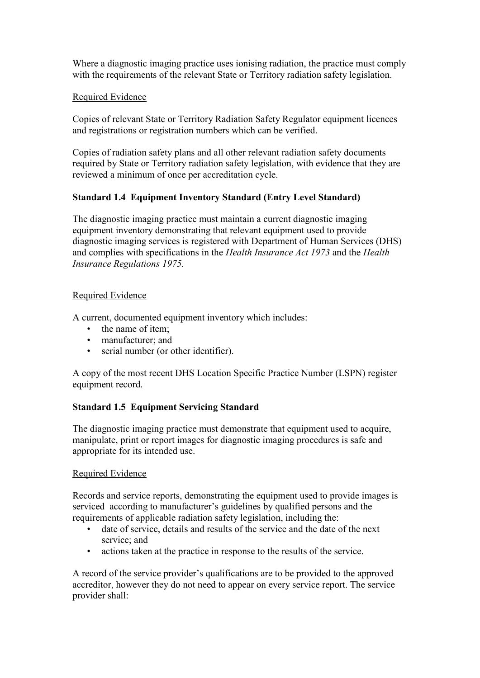Where a diagnostic imaging practice uses ionising radiation, the practice must comply with the requirements of the relevant State or Territory radiation safety legislation.

#### Required Evidence

Copies of relevant State or Territory Radiation Safety Regulator equipment licences and registrations or registration numbers which can be verified.

Copies of radiation safety plans and all other relevant radiation safety documents required by State or Territory radiation safety legislation, with evidence that they are reviewed a minimum of once per accreditation cycle.

#### **Standard 1.4 Equipment Inventory Standard (Entry Level Standard)**

The diagnostic imaging practice must maintain a current diagnostic imaging equipment inventory demonstrating that relevant equipment used to provide diagnostic imaging services is registered with Department of Human Services (DHS) and complies with specifications in the *Health Insurance Act 1973* and the *Health Insurance Regulations 1975.*

#### Required Evidence

A current, documented equipment inventory which includes:

- the name of item:
- manufacturer; and
- serial number (or other identifier).

A copy of the most recent DHS Location Specific Practice Number (LSPN) register equipment record.

#### **Standard 1.5 Equipment Servicing Standard**

The diagnostic imaging practice must demonstrate that equipment used to acquire, manipulate, print or report images for diagnostic imaging procedures is safe and appropriate for its intended use.

#### Required Evidence

Records and service reports, demonstrating the equipment used to provide images is serviced according to manufacturer's guidelines by qualified persons and the requirements of applicable radiation safety legislation, including the:

- date of service, details and results of the service and the date of the next service; and
- actions taken at the practice in response to the results of the service.

A record of the service provider's qualifications are to be provided to the approved accreditor, however they do not need to appear on every service report. The service provider shall: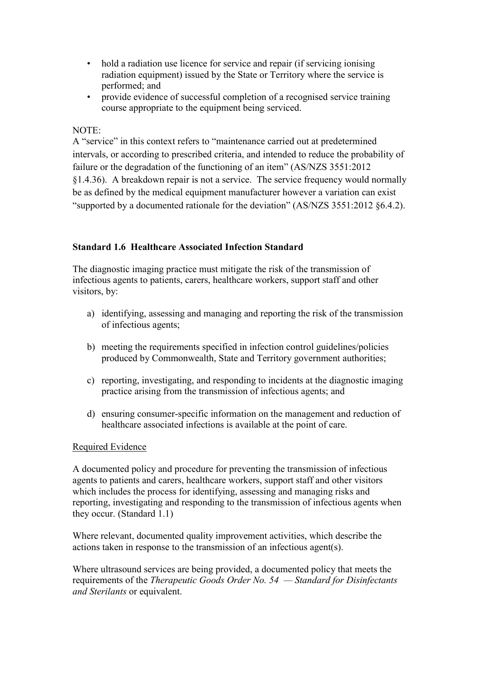- hold a radiation use licence for service and repair (if servicing ionising radiation equipment) issued by the State or Territory where the service is performed; and
- provide evidence of successful completion of a recognised service training course appropriate to the equipment being serviced.

#### NOTE:

A "service" in this context refers to "maintenance carried out at predetermined intervals, or according to prescribed criteria, and intended to reduce the probability of failure or the degradation of the functioning of an item" (AS/NZS 3551:2012 §1.4.36). A breakdown repair is not a service. The service frequency would normally be as defined by the medical equipment manufacturer however a variation can exist "supported by a documented rationale for the deviation" (AS/NZS 3551:2012 §6.4.2).

#### **Standard 1.6 Healthcare Associated Infection Standard**

The diagnostic imaging practice must mitigate the risk of the transmission of infectious agents to patients, carers, healthcare workers, support staff and other visitors, by:

- a) identifying, assessing and managing and reporting the risk of the transmission of infectious agents;
- b) meeting the requirements specified in infection control guidelines/policies produced by Commonwealth, State and Territory government authorities;
- c) reporting, investigating, and responding to incidents at the diagnostic imaging practice arising from the transmission of infectious agents; and
- d) ensuring consumer-specific information on the management and reduction of healthcare associated infections is available at the point of care.

#### Required Evidence

A documented policy and procedure for preventing the transmission of infectious agents to patients and carers, healthcare workers, support staff and other visitors which includes the process for identifying, assessing and managing risks and reporting, investigating and responding to the transmission of infectious agents when they occur. (Standard 1.1)

Where relevant, documented quality improvement activities, which describe the actions taken in response to the transmission of an infectious agent(s).

Where ultrasound services are being provided, a documented policy that meets the requirements of the *Therapeutic Goods Order No. 54 — Standard for Disinfectants and Sterilants* or equivalent.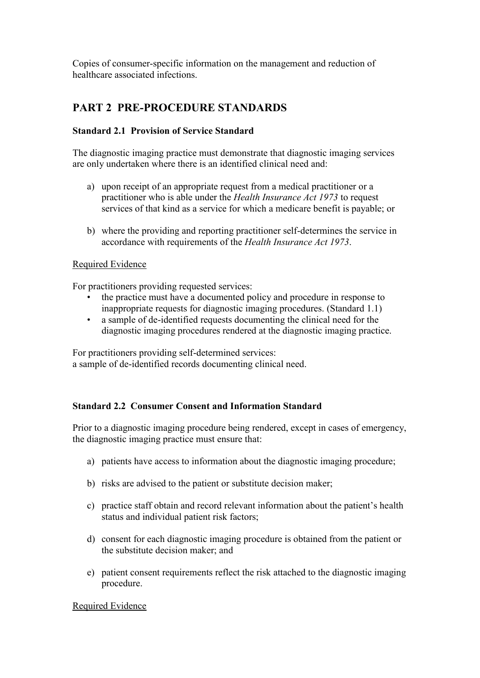Copies of consumer-specific information on the management and reduction of healthcare associated infections.

## **PART 2 PRE-PROCEDURE STANDARDS**

#### **Standard 2.1 Provision of Service Standard**

The diagnostic imaging practice must demonstrate that diagnostic imaging services are only undertaken where there is an identified clinical need and:

- a) upon receipt of an appropriate request from a medical practitioner or a practitioner who is able under the *Health Insurance Act 1973* to request services of that kind as a service for which a medicare benefit is payable; or
- b) where the providing and reporting practitioner self-determines the service in accordance with requirements of the *Health Insurance Act 1973*.

#### Required Evidence

For practitioners providing requested services:

- the practice must have a documented policy and procedure in response to inappropriate requests for diagnostic imaging procedures. (Standard 1.1)
- a sample of de-identified requests documenting the clinical need for the diagnostic imaging procedures rendered at the diagnostic imaging practice.

For practitioners providing self-determined services: a sample of de-identified records documenting clinical need.

#### **Standard 2.2 Consumer Consent and Information Standard**

Prior to a diagnostic imaging procedure being rendered, except in cases of emergency, the diagnostic imaging practice must ensure that:

- a) patients have access to information about the diagnostic imaging procedure;
- b) risks are advised to the patient or substitute decision maker;
- c) practice staff obtain and record relevant information about the patient's health status and individual patient risk factors;
- d) consent for each diagnostic imaging procedure is obtained from the patient or the substitute decision maker; and
- e) patient consent requirements reflect the risk attached to the diagnostic imaging procedure.

#### Required Evidence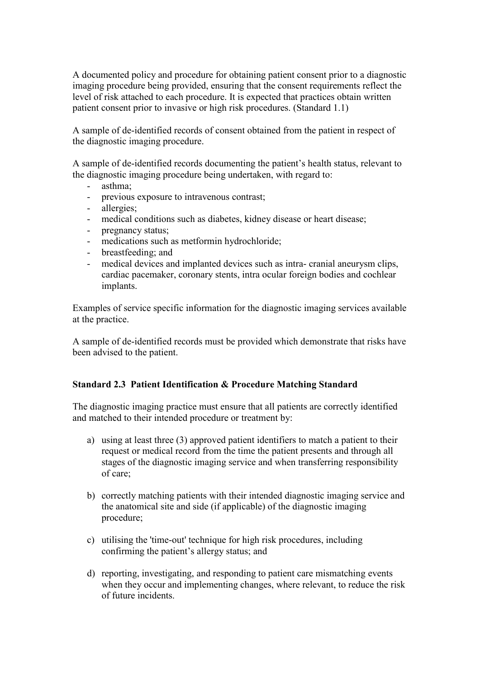A documented policy and procedure for obtaining patient consent prior to a diagnostic imaging procedure being provided, ensuring that the consent requirements reflect the level of risk attached to each procedure. It is expected that practices obtain written patient consent prior to invasive or high risk procedures. (Standard 1.1)

A sample of de-identified records of consent obtained from the patient in respect of the diagnostic imaging procedure.

A sample of de-identified records documenting the patient's health status, relevant to the diagnostic imaging procedure being undertaken, with regard to:

- asthma;
- previous exposure to intravenous contrast;
- allergies:
- medical conditions such as diabetes, kidney disease or heart disease;
- pregnancy status;
- medications such as metformin hydrochloride;
- breastfeeding; and
- medical devices and implanted devices such as intra- cranial aneurysm clips, cardiac pacemaker, coronary stents, intra ocular foreign bodies and cochlear implants.

Examples of service specific information for the diagnostic imaging services available at the practice.

A sample of de-identified records must be provided which demonstrate that risks have been advised to the patient.

#### **Standard 2.3 Patient Identification & Procedure Matching Standard**

The diagnostic imaging practice must ensure that all patients are correctly identified and matched to their intended procedure or treatment by:

- a) using at least three (3) approved patient identifiers to match a patient to their request or medical record from the time the patient presents and through all stages of the diagnostic imaging service and when transferring responsibility of care;
- b) correctly matching patients with their intended diagnostic imaging service and the anatomical site and side (if applicable) of the diagnostic imaging procedure;
- c) utilising the 'time-out' technique for high risk procedures, including confirming the patient's allergy status; and
- d) reporting, investigating, and responding to patient care mismatching events when they occur and implementing changes, where relevant, to reduce the risk of future incidents.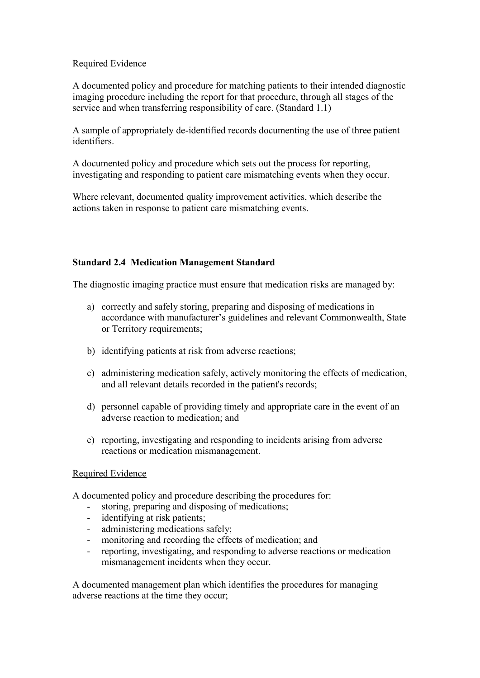#### Required Evidence

A documented policy and procedure for matching patients to their intended diagnostic imaging procedure including the report for that procedure, through all stages of the service and when transferring responsibility of care. (Standard 1.1)

A sample of appropriately de-identified records documenting the use of three patient identifiers.

A documented policy and procedure which sets out the process for reporting, investigating and responding to patient care mismatching events when they occur.

Where relevant, documented quality improvement activities, which describe the actions taken in response to patient care mismatching events.

#### **Standard 2.4 Medication Management Standard**

The diagnostic imaging practice must ensure that medication risks are managed by:

- a) correctly and safely storing, preparing and disposing of medications in accordance with manufacturer's guidelines and relevant Commonwealth, State or Territory requirements;
- b) identifying patients at risk from adverse reactions;
- c) administering medication safely, actively monitoring the effects of medication, and all relevant details recorded in the patient's records;
- d) personnel capable of providing timely and appropriate care in the event of an adverse reaction to medication; and
- e) reporting, investigating and responding to incidents arising from adverse reactions or medication mismanagement.

#### Required Evidence

A documented policy and procedure describing the procedures for:

- storing, preparing and disposing of medications;
- identifying at risk patients;
- administering medications safely;
- monitoring and recording the effects of medication; and
- reporting, investigating, and responding to adverse reactions or medication mismanagement incidents when they occur.

A documented management plan which identifies the procedures for managing adverse reactions at the time they occur;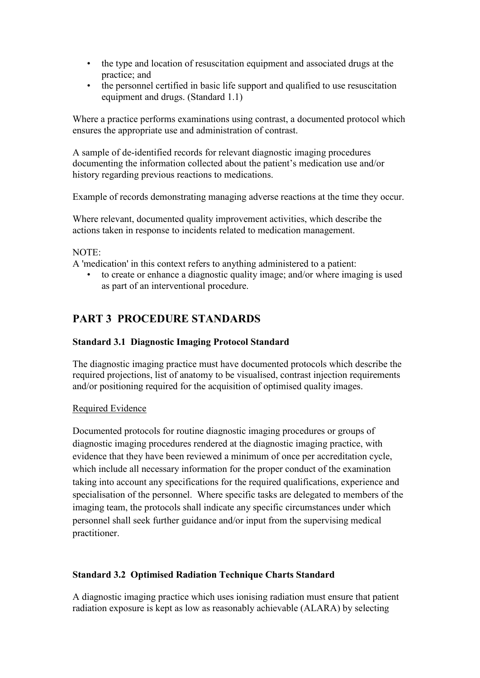- the type and location of resuscitation equipment and associated drugs at the practice; and
- the personnel certified in basic life support and qualified to use resuscitation equipment and drugs. (Standard 1.1)

Where a practice performs examinations using contrast, a documented protocol which ensures the appropriate use and administration of contrast.

A sample of de-identified records for relevant diagnostic imaging procedures documenting the information collected about the patient's medication use and/or history regarding previous reactions to medications.

Example of records demonstrating managing adverse reactions at the time they occur.

Where relevant, documented quality improvement activities, which describe the actions taken in response to incidents related to medication management.

#### NOTE:

A 'medication' in this context refers to anything administered to a patient:

• to create or enhance a diagnostic quality image; and/or where imaging is used as part of an interventional procedure.

### **PART 3 PROCEDURE STANDARDS**

#### **Standard 3.1 Diagnostic Imaging Protocol Standard**

The diagnostic imaging practice must have documented protocols which describe the required projections, list of anatomy to be visualised, contrast injection requirements and/or positioning required for the acquisition of optimised quality images.

#### Required Evidence

Documented protocols for routine diagnostic imaging procedures or groups of diagnostic imaging procedures rendered at the diagnostic imaging practice, with evidence that they have been reviewed a minimum of once per accreditation cycle, which include all necessary information for the proper conduct of the examination taking into account any specifications for the required qualifications, experience and specialisation of the personnel. Where specific tasks are delegated to members of the imaging team, the protocols shall indicate any specific circumstances under which personnel shall seek further guidance and/or input from the supervising medical practitioner.

#### **Standard 3.2 Optimised Radiation Technique Charts Standard**

A diagnostic imaging practice which uses ionising radiation must ensure that patient radiation exposure is kept as low as reasonably achievable (ALARA) by selecting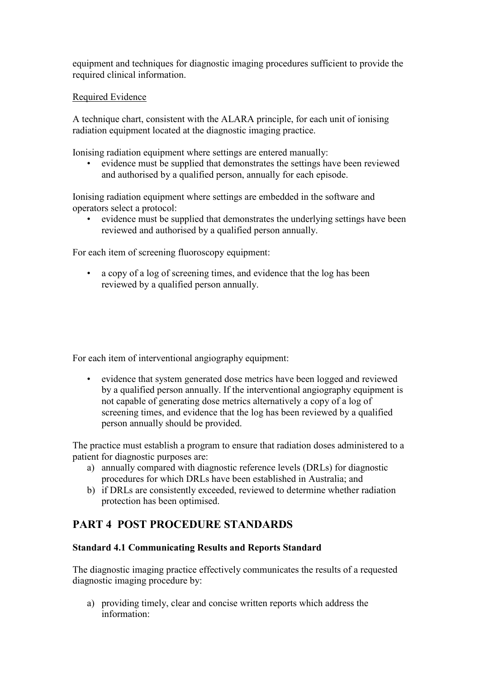equipment and techniques for diagnostic imaging procedures sufficient to provide the required clinical information.

#### Required Evidence

A technique chart, consistent with the ALARA principle, for each unit of ionising radiation equipment located at the diagnostic imaging practice.

Ionising radiation equipment where settings are entered manually:

• evidence must be supplied that demonstrates the settings have been reviewed and authorised by a qualified person, annually for each episode.

Ionising radiation equipment where settings are embedded in the software and operators select a protocol:

evidence must be supplied that demonstrates the underlying settings have been reviewed and authorised by a qualified person annually.

For each item of screening fluoroscopy equipment:

• a copy of a log of screening times, and evidence that the log has been reviewed by a qualified person annually.

For each item of interventional angiography equipment:

• evidence that system generated dose metrics have been logged and reviewed by a qualified person annually. If the interventional angiography equipment is not capable of generating dose metrics alternatively a copy of a log of screening times, and evidence that the log has been reviewed by a qualified person annually should be provided.

The practice must establish a program to ensure that radiation doses administered to a patient for diagnostic purposes are:

- a) annually compared with diagnostic reference levels (DRLs) for diagnostic procedures for which DRLs have been established in Australia; and
- b) if DRLs are consistently exceeded, reviewed to determine whether radiation protection has been optimised.

### **PART 4 POST PROCEDURE STANDARDS**

#### **Standard 4.1 Communicating Results and Reports Standard**

The diagnostic imaging practice effectively communicates the results of a requested diagnostic imaging procedure by:

a) providing timely, clear and concise written reports which address the information: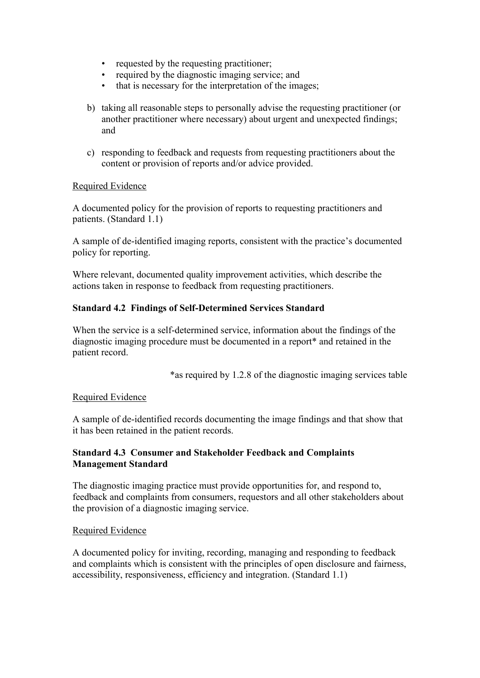- requested by the requesting practitioner;
- required by the diagnostic imaging service; and
- that is necessary for the interpretation of the images;
- b) taking all reasonable steps to personally advise the requesting practitioner (or another practitioner where necessary) about urgent and unexpected findings; and
- c) responding to feedback and requests from requesting practitioners about the content or provision of reports and/or advice provided.

#### Required Evidence

A documented policy for the provision of reports to requesting practitioners and patients. (Standard 1.1)

A sample of de-identified imaging reports, consistent with the practice's documented policy for reporting.

Where relevant, documented quality improvement activities, which describe the actions taken in response to feedback from requesting practitioners.

#### **Standard 4.2 Findings of Self-Determined Services Standard**

When the service is a self-determined service, information about the findings of the diagnostic imaging procedure must be documented in a report\* and retained in the patient record.

\*as required by 1.2.8 of the diagnostic imaging services table

#### Required Evidence

A sample of de-identified records documenting the image findings and that show that it has been retained in the patient records.

#### **Standard 4.3 Consumer and Stakeholder Feedback and Complaints Management Standard**

The diagnostic imaging practice must provide opportunities for, and respond to, feedback and complaints from consumers, requestors and all other stakeholders about the provision of a diagnostic imaging service.

#### Required Evidence

A documented policy for inviting, recording, managing and responding to feedback and complaints which is consistent with the principles of open disclosure and fairness, accessibility, responsiveness, efficiency and integration. (Standard 1.1)